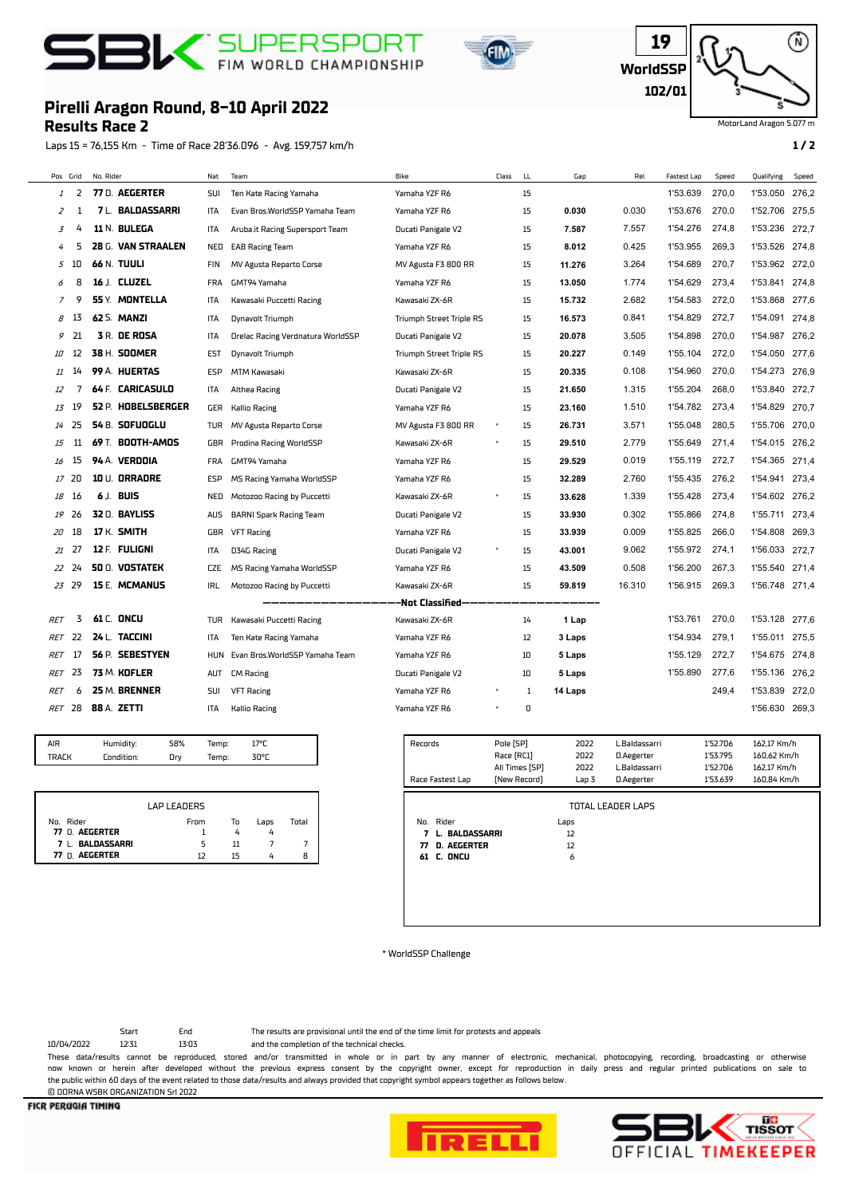## **BI** FIN WORLD CHAMPIONSHIP





MotorLand Aragon 5.077 m

## **Pirelli Aragon Round, 8-10 April 2022**

**Results Race 2**

Laps 15 = 76,155 Km - Time of Race 28'36.096 - Avg. 159,757 km/h **1 / 2**

|            | Pos Grid         | No. Rider |                         | Nat        | Team                              | Bike                            | Class | LL. | Gap     | Rel.   | Fastest Lap | Speed | Qualifying     | Speed |
|------------|------------------|-----------|-------------------------|------------|-----------------------------------|---------------------------------|-------|-----|---------|--------|-------------|-------|----------------|-------|
| 1          | 2                |           | 77 D. AEGERTER          | SUI        | Ten Kate Racing Yamaha            | Yamaha YZF R6                   |       | 15  |         |        | 1'53.639    | 270,0 | 1'53.050       | 276,2 |
| 2          | 1                |           | <b>7 L. BALDASSARRI</b> | ITA        | Evan Bros.WorldSSP Yamaha Team    | Yamaha YZF R6                   |       | 15  | 0.030   | 0.030  | 1'53.676    | 270,0 | 1'52.706 275,5 |       |
| 3          | 4                |           | 11 N. BULEGA            | ITA        | Aruba.it Racing Supersport Team   | Ducati Panigale V2              |       | 15  | 7.587   | 7.557  | 1'54.276    | 274,8 | 1'53.236       | 272,7 |
| 4          | 5                |           | 28 G. VAN STRAALEN      | NED        | <b>EAB Racing Team</b>            | Yamaha YZF R6                   |       | 15  | 8.012   | 0.425  | 1'53.955    | 269,3 | 1'53.526       | 274,8 |
| 5          | 10               |           | <b>66 N. TUULI</b>      | <b>FIN</b> | MV Agusta Reparto Corse           | MV Agusta F3 800 RR             |       | 15  | 11.276  | 3.264  | 1'54.689    | 270.7 | 1'53.962       | 272.0 |
| 6          | 8                |           | 16 J. CLUZEL            | <b>FRA</b> | GMT94 Yamaha                      | Yamaha YZF R6                   |       | 15  | 13.050  | 1.774  | 1'54.629    | 273,4 | 1'53.841       | 274,8 |
| 7          | 9                |           | 55 Y. MONTELLA          | <b>ITA</b> | Kawasaki Puccetti Racing          | Kawasaki ZX-6R                  |       | 15  | 15.732  | 2.682  | 1'54.583    | 272,0 | 1'53.868       | 277,6 |
| 8          | 13               |           | <b>62 S. MANZI</b>      | <b>ITA</b> | Dynavolt Triumph                  | <b>Triumph Street Triple RS</b> |       | 15  | 16.573  | 0.841  | 1'54.829    | 272,7 | 1'54.091       | 274,8 |
| 9          | 21               |           | <b>3 R. DE ROSA</b>     | <b>ITA</b> | Orelac Racing Verdnatura WorldSSP | Ducati Panigale V2              |       | 15  | 20.078  | 3.505  | 1'54.898    | 270.0 | 1'54.987       | 276,2 |
| 10         | 12               |           | 38 H. SOOMER            | <b>EST</b> | Dynavolt Triumph                  | <b>Triumph Street Triple RS</b> |       | 15  | 20.227  | 0.149  | 1'55.104    | 272,0 | 1'54.050       | 277.6 |
| 11         | 14               |           | 99 A. HUERTAS           | <b>ESP</b> | MTM Kawasaki                      | Kawasaki ZX-6R                  |       | 15  | 20.335  | 0.108  | 1'54.960    | 270.0 | 1'54.273       | 276,9 |
| 12         | 7                |           | 64 F. CARICASULO        | <b>ITA</b> | Althea Racing                     | Ducati Panigale V2              |       | 15  | 21.650  | 1.315  | 1'55.204    | 268.0 | 1'53.840       | 272,7 |
| 13         | 19               |           | 52 P. HOBELSBERGER      | GER        | <b>Kallio Racing</b>              | Yamaha YZF R6                   |       | 15  | 23.160  | 1.510  | 1'54.782    | 273.4 | 1'54.829       | 270,7 |
| 14         | 25               |           | 54 B. SOFUOGLU          | TUR        | MV Agusta Reparto Corse           | MV Agusta F3 800 RR             |       | 15  | 26.731  | 3.571  | 1'55.048    | 280.5 | 1'55.706       | 270.0 |
| 15         | 11               |           | 69 T. BOOTH-AMOS        | GBR        | Prodina Racing WorldSSP           | Kawasaki ZX-6R                  |       | 15  | 29.510  | 2.779  | 1'55.649    | 271,4 | 1'54.015       | 276,2 |
| 16         | 15               |           | 94 A. VERDOIA           | <b>FRA</b> | GMT94 Yamaha                      | Yamaha YZF R6                   |       | 15  | 29.529  | 0.019  | 1'55.119    | 272,7 | 1'54.365       | 271,4 |
| 17         | 20               |           | 10 U. ORRADRE           | ESP        | MS Racing Yamaha WorldSSP         | Yamaha YZF R6                   |       | 15  | 32.289  | 2.760  | 1'55.435    | 276,2 | 1'54.941       | 273,4 |
| 18         | 16               |           | 6 J. BUIS               | NED        | Motozoo Racing by Puccetti        | Kawasaki ZX-6R                  |       | 15  | 33.628  | 1.339  | 1'55.428    | 273,4 | 1'54.602 276,2 |       |
| 19         | 26               |           | 32 0. BAYLISS           | <b>AUS</b> | <b>BARNI Spark Racing Team</b>    | Ducati Panigale V2              |       | 15  | 33.930  | 0.302  | 1'55.866    | 274.8 | 1'55.711       | 273.4 |
| 20         | 18               |           | 17 K. SMITH             | GBR        | <b>VFT Racing</b>                 | Yamaha YZF R6                   |       | 15  | 33.939  | 0.009  | 1'55.825    | 266,0 | 1'54.808       | 269,3 |
| 21         | 27               |           | 12 F FULIGNI            | <b>ITA</b> | D34G Racing                       | Ducati Panigale V2              |       | 15  | 43.001  | 9.062  | 1'55.972    | 274.1 | 1'56.033       | 272.7 |
| 22         | 24               |           | <b>50 Q. VOSTATEK</b>   | <b>CZE</b> | MS Racing Yamaha WorldSSP         | Yamaha YZF R6                   |       | 15  | 43.509  | 0.508  | 1'56.200    | 267,3 | 1'55.540       | 271,4 |
| 23         | 29               |           | 15 E. MCMANUS           | IRL        | Motozoo Racing by Puccetti        | Kawasaki ZX-6R                  |       | 15  | 59.819  | 16.310 | 1'56.915    | 269.3 | 1'56.748 271,4 |       |
|            | -Not Classified- |           |                         |            |                                   |                                 |       |     |         |        |             |       |                |       |
| RET        | 3                |           | <b>61 C. ONCU</b>       | TUR        | Kawasaki Puccetti Racing          | Kawasaki ZX-6R                  |       | 14  | 1 Lap   |        | 1'53.761    | 270,0 | 1'53.128       | 277,6 |
| RET        | 22               |           | 24 L. TACCINI           | ITA        | Ten Kate Racing Yamaha            | Yamaha YZF R6                   |       | 12  | 3 Laps  |        | 1'54.934    | 279,1 | 1'55.011       | 275,5 |
| RET        | 17               |           | 56 P. SEBESTYEN         | <b>HUN</b> | Evan Bros.WorldSSP Yamaha Team    | Yamaha YZF R6                   |       | 10  | 5 Laps  |        | 1'55.129    | 272,7 | 1'54.675       | 274.8 |
| RET        | 23               |           | 73 M. KOFLER            | AUT        | <b>CM Racing</b>                  | Ducati Panigale V2              |       | 10  | 5 Laps  |        | 1'55.890    | 277,6 | 1'55.136       | 276,2 |
| <b>RET</b> | 6                |           | 25 M. BRENNER           | SUI        | <b>VFT Racing</b>                 | Yamaha YZF R6                   |       | 1   | 14 Laps |        |             | 249.4 | 1'53.839       | 272.0 |
|            | <b>RET</b> 28    |           | 88 A. ZETTI             | ITA        | <b>Kallio Racing</b>              | Yamaha YZF R6                   |       | 0   |         |        |             |       | 1'56.630       | 269,3 |
|            |                  |           |                         |            |                                   |                                 |       |     |         |        |             |       |                |       |

| AIR          | Humidity:  | 58% | 70 <sub>0</sub> |  |
|--------------|------------|-----|-----------------|--|
| <b>TRAFK</b> | Condition: | Ūry | nor             |  |

|                  | LAP LEADERS |    |      |       |
|------------------|-------------|----|------|-------|
| Nn Rider         | From        | То | Lans | Total |
| 77 D. AEGERTER   |             |    |      |       |
| 7 L. BALDASSARRI |             | 11 |      |       |
| 77 D. AEGERTER   | רו          | 15 |      | 8     |

| Records<br>Race Fastest Lap                                                      | Pole (SP)<br>Race [RC1]<br>All Times [SP]<br>[New Record] | 2022<br>2022<br>2022<br>Lap 3 | L.Baldassarri<br>D.Aegerter<br>L.Baldassarri<br>D.Aegerter | 1'52.706<br>1'53.795<br>1'52.706<br>1'53.639 | 162,17 Km/h<br>160,62 Km/h<br>162,17 Km/h<br>160.84 Km/h |
|----------------------------------------------------------------------------------|-----------------------------------------------------------|-------------------------------|------------------------------------------------------------|----------------------------------------------|----------------------------------------------------------|
| No. Rider<br><b>BALDASSARRI</b><br>7<br>п.<br>D. AEGERTER<br>77<br>C. ONCU<br>61 |                                                           | Laps<br>12<br>12<br>6         | <b>TOTAL LEADER LAPS</b>                                   |                                              |                                                          |

\* WorldSSP Challenge

Start End The results are provisional until the end of the time limit for protests and appeals

10/04/2022 12:31 13:03 and the completion of the technical checks.

These data/results cannot be reproduced, stored and/or transmitted in whole or in part by any manner of electronic, mechanical, photocopying, recording, broadcasting or otherwise now known or herein afer developed without the previous express consent by the copyright owner, except for reproduction in daily press and regular printed publications on sale to the public within 60 days of the event related to those data/results and always provided that copyright symbol appears together as follows below. © DORNA WSBK ORGANIZATION Srl 2022